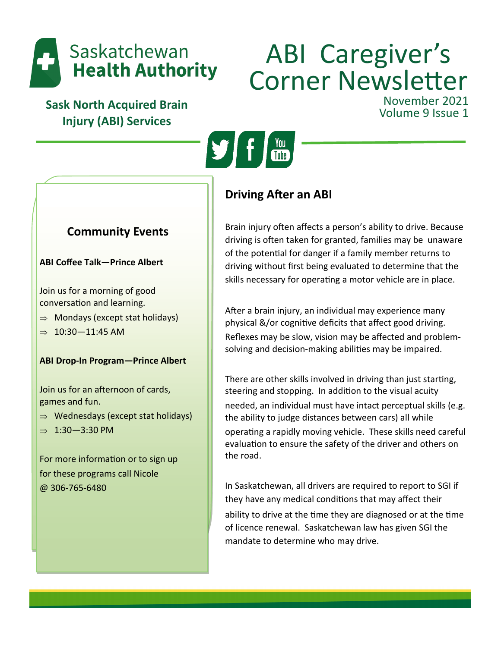

# ABI Caregiver's Corner Newsletter November 2021<br>Volume 9 Issue 1

**Sask North Acquired Brain Injury (ABI) Services**



# **Community Events**

### **ABI Coffee Talk—Prince Albert**

Join us for a morning of good conversation and learning.

- $\Rightarrow$  Mondays (except stat holidays)
- $\Rightarrow$  10:30-11:45 AM

## **ABI Drop-In Program—Prince Albert**

Join us for an afternoon of cards, games and fun.

- $\Rightarrow$  Wednesdays (except stat holidays)
- $\Rightarrow$  1:30-3:30 PM

For more information or to sign up for these programs call Nicole @ 306-765-6480

# **Driving After an ABI**

Brain injury often affects a person's ability to drive. Because driving is often taken for granted, families may be unaware of the potential for danger if a family member returns to driving without first being evaluated to determine that the skills necessary for operating a motor vehicle are in place.

After a brain injury, an individual may experience many physical &/or cognitive deficits that affect good driving. Reflexes may be slow, vision may be affected and problemsolving and decision-making abilities may be impaired.

There are other skills involved in driving than just starting, steering and stopping. In addition to the visual acuity needed, an individual must have intact perceptual skills (e.g. the ability to judge distances between cars) all while operating a rapidly moving vehicle. These skills need careful evaluation to ensure the safety of the driver and others on the road.

In Saskatchewan, all drivers are required to report to SGI if they have any medical conditions that may affect their ability to drive at the time they are diagnosed or at the time of licence renewal. Saskatchewan law has given SGI the mandate to determine who may drive.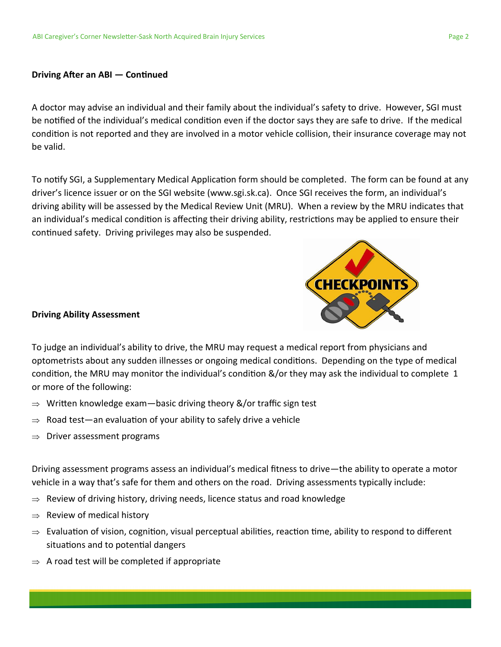#### **Driving After an ABI — Continued**

A doctor may advise an individual and their family about the individual's safety to drive. However, SGI must be notified of the individual's medical condition even if the doctor says they are safe to drive. If the medical condition is not reported and they are involved in a motor vehicle collision, their insurance coverage may not be valid.

To notify SGI, a Supplementary Medical Application form should be completed. The form can be found at any driver's licence issuer or on the SGI website (www.sgi.sk.ca). Once SGI receives the form, an individual's driving ability will be assessed by the Medical Review Unit (MRU). When a review by the MRU indicates that an individual's medical condition is affecting their driving ability, restrictions may be applied to ensure their continued safety. Driving privileges may also be suspended.



#### **Driving Ability Assessment**

To judge an individual's ability to drive, the MRU may request a medical report from physicians and optometrists about any sudden illnesses or ongoing medical conditions. Depending on the type of medical condition, the MRU may monitor the individual's condition &/or they may ask the individual to complete 1 or more of the following:

- $\Rightarrow$  Written knowledge exam—basic driving theory &/or traffic sign test
- $\Rightarrow$  Road test—an evaluation of your ability to safely drive a vehicle
- $\Rightarrow$  Driver assessment programs

Driving assessment programs assess an individual's medical fitness to drive—the ability to operate a motor vehicle in a way that's safe for them and others on the road. Driving assessments typically include:

- $\Rightarrow$  Review of driving history, driving needs, licence status and road knowledge
- $\Rightarrow$  Review of medical history
- $\Rightarrow$  Evaluation of vision, cognition, visual perceptual abilities, reaction time, ability to respond to different situations and to potential dangers
- $\Rightarrow$  A road test will be completed if appropriate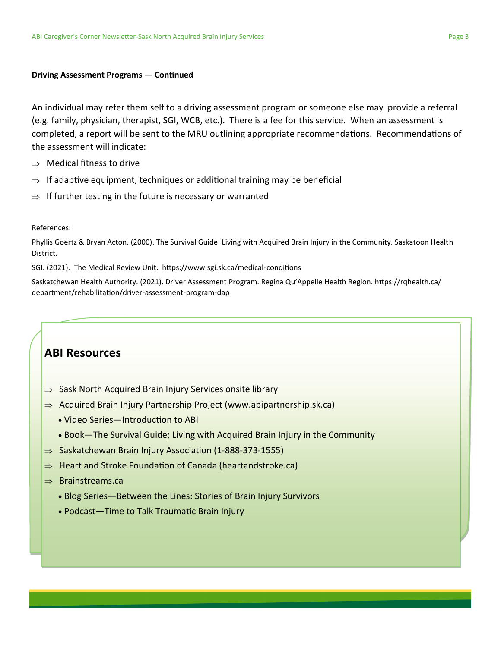#### **Driving Assessment Programs — Continued**

An individual may refer them self to a driving assessment program or someone else may provide a referral (e.g. family, physician, therapist, SGI, WCB, etc.). There is a fee for this service. When an assessment is completed, a report will be sent to the MRU outlining appropriate recommendations. Recommendations of the assessment will indicate:

- $\Rightarrow$  Medical fitness to drive
- $\Rightarrow$  If adaptive equipment, techniques or additional training may be beneficial
- $\Rightarrow$  If further testing in the future is necessary or warranted

#### References:

Phyllis Goertz & Bryan Acton. (2000). The Survival Guide: Living with Acquired Brain Injury in the Community. Saskatoon Health District.

SGI. (2021). The Medical Review Unit. https://www.sgi.sk.ca/medical-conditions

Saskatchewan Health Authority. (2021). Driver Assessment Program. Regina Qu'Appelle Health Region. https://rqhealth.ca/ department/rehabilitation/driver-assessment-program-dap

## **ABI Resources**

- $\Rightarrow$  Sask North Acquired Brain Injury Services onsite library
- $\Rightarrow$  Acquired Brain Injury Partnership Project (www.abipartnership.sk.ca)
	- Video Series—Introduction to ABI
	- Book—The Survival Guide; Living with Acquired Brain Injury in the Community
- $\Rightarrow$  Saskatchewan Brain Injury Association (1-888-373-1555)
- $\Rightarrow$  Heart and Stroke Foundation of Canada (heartandstroke.ca)

#### $\Rightarrow$  Brainstreams.ca

- Blog Series—Between the Lines: Stories of Brain Injury Survivors
- Podcast—Time to Talk Traumatic Brain Injury